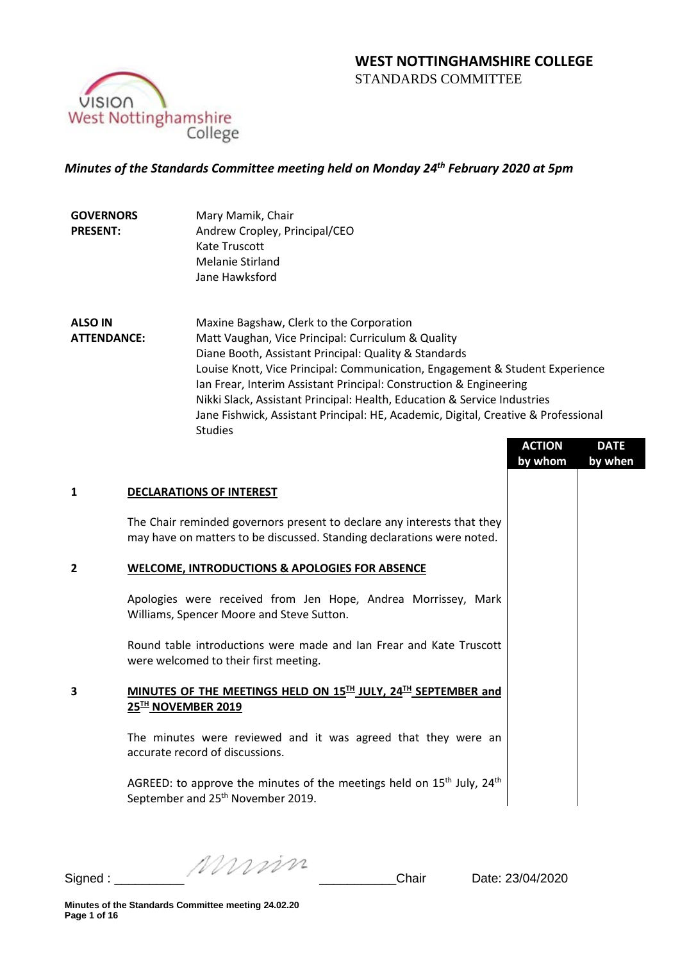

# *Minutes of the Standards Committee meeting held on Monday 24th February 2020 at 5pm*

| <b>GOVERNORS</b> | Mary Mamik, Chair             |
|------------------|-------------------------------|
| <b>PRESENT:</b>  | Andrew Cropley, Principal/CEO |
|                  | Kate Truscott                 |
|                  | Melanie Stirland              |
|                  | Jane Hawksford                |

**ALSO IN ATTENDANCE:** Maxine Bagshaw, Clerk to the Corporation Matt Vaughan, Vice Principal: Curriculum & Quality Diane Booth, Assistant Principal: Quality & Standards Louise Knott, Vice Principal: Communication, Engagement & Student Experience Ian Frear, Interim Assistant Principal: Construction & Engineering Nikki Slack, Assistant Principal: Health, Education & Service Industries Jane Fishwick, Assistant Principal: HE, Academic, Digital, Creative & Professional Studies

|   |                                                                                                                                                   | <b>ACTION</b><br>by whom | <b>DATE</b><br>by when |
|---|---------------------------------------------------------------------------------------------------------------------------------------------------|--------------------------|------------------------|
| 1 | <b>DECLARATIONS OF INTEREST</b>                                                                                                                   |                          |                        |
|   | The Chair reminded governors present to declare any interests that they<br>may have on matters to be discussed. Standing declarations were noted. |                          |                        |
| 2 | <b>WELCOME, INTRODUCTIONS &amp; APOLOGIES FOR ABSENCE</b>                                                                                         |                          |                        |
|   | Apologies were received from Jen Hope, Andrea Morrissey, Mark<br>Williams, Spencer Moore and Steve Sutton.                                        |                          |                        |
|   | Round table introductions were made and Ian Frear and Kate Truscott<br>were welcomed to their first meeting.                                      |                          |                        |
| 3 | MINUTES OF THE MEETINGS HELD ON 15TH JULY, 24TH SEPTEMBER and<br>25™ NOVEMBER 2019                                                                |                          |                        |
|   | The minutes were reviewed and it was agreed that they were an<br>accurate record of discussions.                                                  |                          |                        |
|   | AGREED: to approve the minutes of the meetings held on $15th$ July, $24th$<br>September and 25 <sup>th</sup> November 2019.                       |                          |                        |
|   |                                                                                                                                                   |                          |                        |

Signed :  $\frac{1}{2}$  Signed :  $\frac{1}{2}$   $\frac{1}{2}$   $\frac{1}{2}$   $\frac{1}{2}$   $\frac{1}{2}$   $\frac{1}{2}$   $\frac{1}{2}$   $\frac{1}{2}$   $\frac{1}{2}$   $\frac{1}{2}$   $\frac{1}{2}$   $\frac{1}{2}$   $\frac{1}{2}$   $\frac{1}{2}$   $\frac{1}{2}$   $\frac{1}{2}$   $\frac{1}{2}$   $\frac{1}{2}$   $\frac{1}{2}$   $\frac$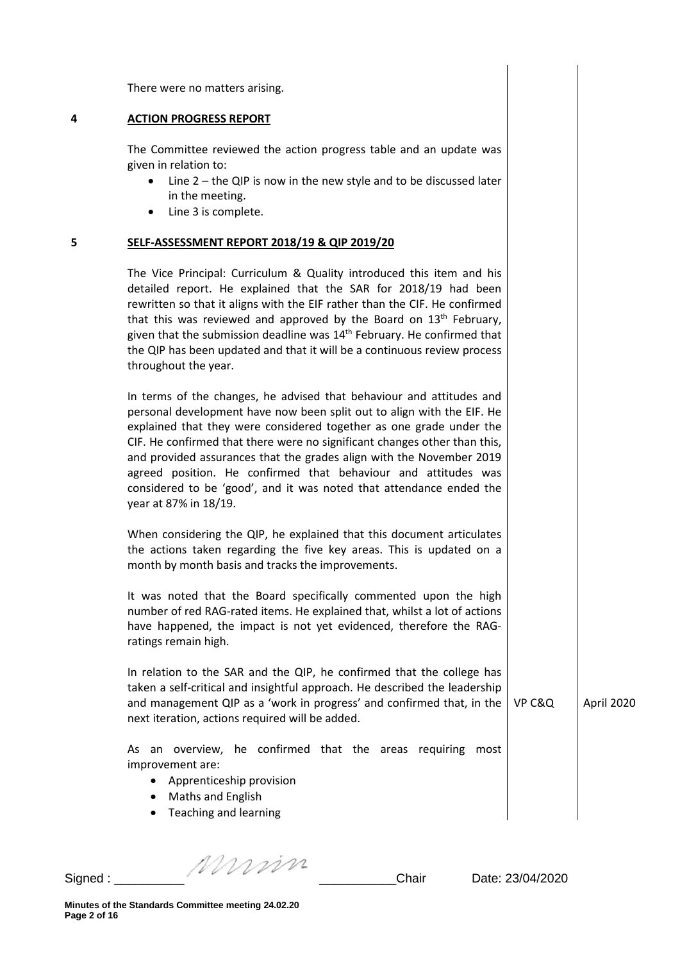There were no matters arising.

#### **4 ACTION PROGRESS REPORT**

The Committee reviewed the action progress table and an update was given in relation to:

- Line 2 the QIP is now in the new style and to be discussed later in the meeting.
- Line 3 is complete.

#### **5 SELF-ASSESSMENT REPORT 2018/19 & QIP 2019/20**

The Vice Principal: Curriculum & Quality introduced this item and his detailed report. He explained that the SAR for 2018/19 had been rewritten so that it aligns with the EIF rather than the CIF. He confirmed that this was reviewed and approved by the Board on  $13<sup>th</sup>$  February, given that the submission deadline was  $14<sup>th</sup>$  February. He confirmed that the QIP has been updated and that it will be a continuous review process throughout the year.

In terms of the changes, he advised that behaviour and attitudes and personal development have now been split out to align with the EIF. He explained that they were considered together as one grade under the CIF. He confirmed that there were no significant changes other than this, and provided assurances that the grades align with the November 2019 agreed position. He confirmed that behaviour and attitudes was considered to be 'good', and it was noted that attendance ended the year at 87% in 18/19.

When considering the QIP, he explained that this document articulates the actions taken regarding the five key areas. This is updated on a month by month basis and tracks the improvements.

It was noted that the Board specifically commented upon the high number of red RAG-rated items. He explained that, whilst a lot of actions have happened, the impact is not yet evidenced, therefore the RAGratings remain high.

In relation to the SAR and the QIP, he confirmed that the college has taken a self-critical and insightful approach. He described the leadership and management QIP as a 'work in progress' and confirmed that, in the next iteration, actions required will be added. VP C&Q April 2020

As an overview, he confirmed that the areas requiring most improvement are:

- Apprenticeship provision
- Maths and English
- Teaching and learning

Signed :  $\frac{1}{2}$  Signed :  $\frac{1}{2}$  Chair Date: 23/04/2020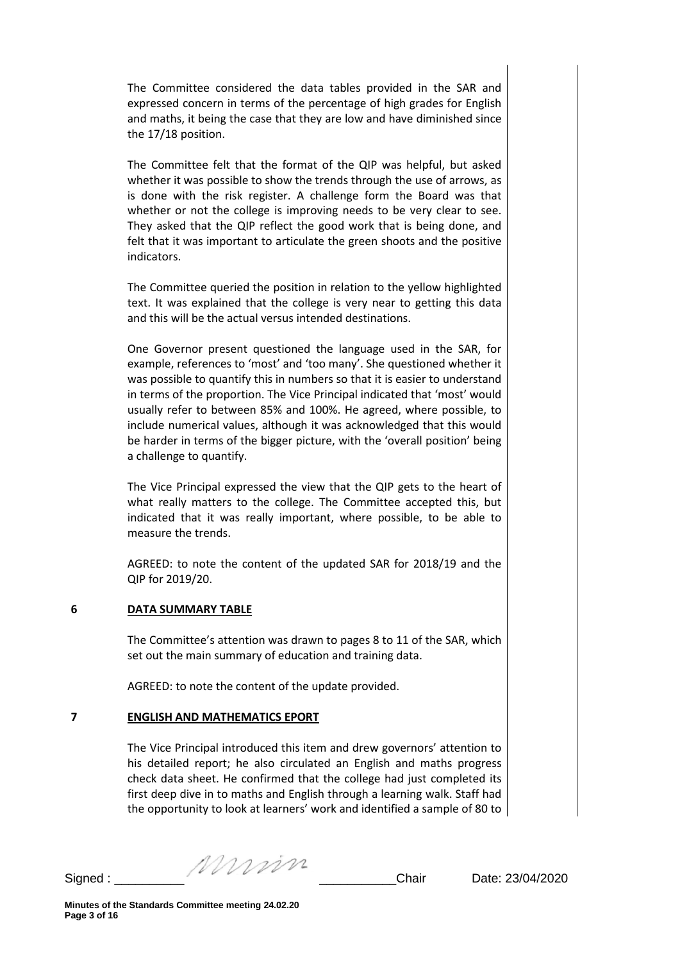The Committee considered the data tables provided in the SAR and expressed concern in terms of the percentage of high grades for English and maths, it being the case that they are low and have diminished since the 17/18 position.

The Committee felt that the format of the QIP was helpful, but asked whether it was possible to show the trends through the use of arrows, as is done with the risk register. A challenge form the Board was that whether or not the college is improving needs to be very clear to see. They asked that the QIP reflect the good work that is being done, and felt that it was important to articulate the green shoots and the positive indicators.

The Committee queried the position in relation to the yellow highlighted text. It was explained that the college is very near to getting this data and this will be the actual versus intended destinations.

One Governor present questioned the language used in the SAR, for example, references to 'most' and 'too many'. She questioned whether it was possible to quantify this in numbers so that it is easier to understand in terms of the proportion. The Vice Principal indicated that 'most' would usually refer to between 85% and 100%. He agreed, where possible, to include numerical values, although it was acknowledged that this would be harder in terms of the bigger picture, with the 'overall position' being a challenge to quantify.

The Vice Principal expressed the view that the QIP gets to the heart of what really matters to the college. The Committee accepted this, but indicated that it was really important, where possible, to be able to measure the trends.

AGREED: to note the content of the updated SAR for 2018/19 and the QIP for 2019/20.

### **6 DATA SUMMARY TABLE**

The Committee's attention was drawn to pages 8 to 11 of the SAR, which set out the main summary of education and training data.

AGREED: to note the content of the update provided.

## **7 ENGLISH AND MATHEMATICS EPORT**

The Vice Principal introduced this item and drew governors' attention to his detailed report; he also circulated an English and maths progress check data sheet. He confirmed that the college had just completed its first deep dive in to maths and English through a learning walk. Staff had the opportunity to look at learners' work and identified a sample of 80 to

Signed :  $\frac{1}{2}$  Signed :  $\frac{1}{2}$  Chair Date: 23/04/2020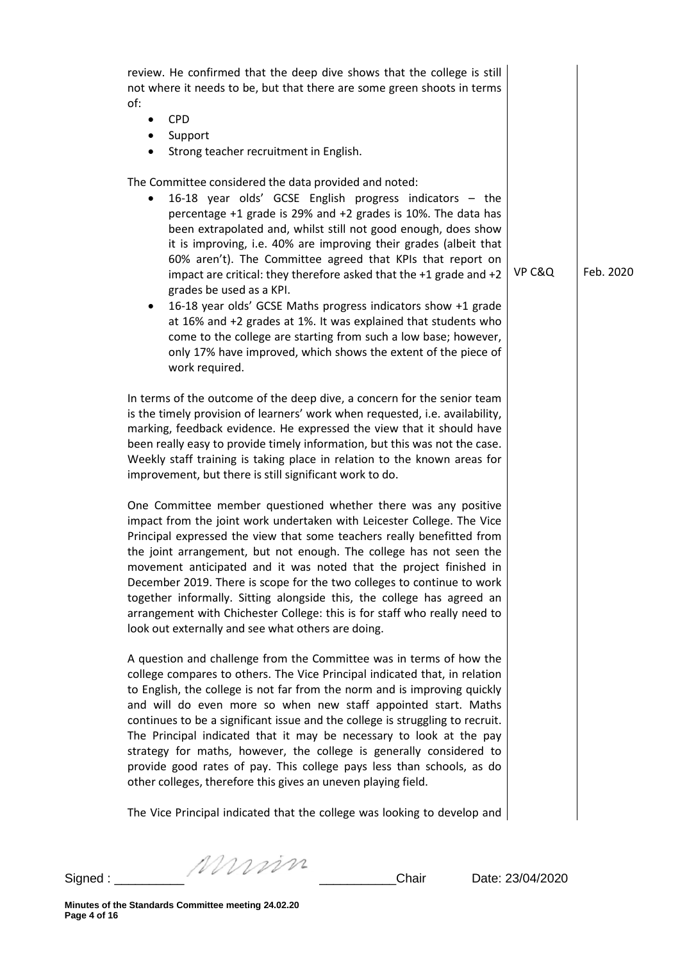| ٠              | <b>CPD</b><br>Support<br>Strong teacher recruitment in English.                                                                                                                                                                                                                                                                                                                                                                                                                                                                                                                                                                                                                                                                                                                    |        |           |
|----------------|------------------------------------------------------------------------------------------------------------------------------------------------------------------------------------------------------------------------------------------------------------------------------------------------------------------------------------------------------------------------------------------------------------------------------------------------------------------------------------------------------------------------------------------------------------------------------------------------------------------------------------------------------------------------------------------------------------------------------------------------------------------------------------|--------|-----------|
| $\bullet$<br>٠ | The Committee considered the data provided and noted:<br>16-18 year olds' GCSE English progress indicators - the<br>percentage +1 grade is 29% and +2 grades is 10%. The data has<br>been extrapolated and, whilst still not good enough, does show<br>it is improving, i.e. 40% are improving their grades (albeit that<br>60% aren't). The Committee agreed that KPIs that report on<br>impact are critical: they therefore asked that the +1 grade and +2<br>grades be used as a KPI.<br>16-18 year olds' GCSE Maths progress indicators show +1 grade<br>at 16% and +2 grades at 1%. It was explained that students who<br>come to the college are starting from such a low base; however,<br>only 17% have improved, which shows the extent of the piece of<br>work required. | VP C&Q | Feb. 2020 |
|                | In terms of the outcome of the deep dive, a concern for the senior team<br>is the timely provision of learners' work when requested, i.e. availability,<br>marking, feedback evidence. He expressed the view that it should have<br>been really easy to provide timely information, but this was not the case.<br>Weekly staff training is taking place in relation to the known areas for<br>improvement, but there is still significant work to do.                                                                                                                                                                                                                                                                                                                              |        |           |
|                | One Committee member questioned whether there was any positive<br>impact from the joint work undertaken with Leicester College. The Vice<br>Principal expressed the view that some teachers really benefitted from<br>the joint arrangement, but not enough. The college has not seen the<br>movement anticipated and it was noted that the project finished in<br>December 2019. There is scope for the two colleges to continue to work<br>together informally. Sitting alongside this, the college has agreed an<br>arrangement with Chichester College: this is for staff who really need to<br>look out externally and see what others are doing.                                                                                                                             |        |           |
|                | A question and challenge from the Committee was in terms of how the<br>college compares to others. The Vice Principal indicated that, in relation<br>to English, the college is not far from the norm and is improving quickly                                                                                                                                                                                                                                                                                                                                                                                                                                                                                                                                                     |        |           |

Signed : \_\_\_\_\_\_\_\_\_\_ \_\_\_\_\_\_\_\_\_\_\_Chair Date: 23/04/2020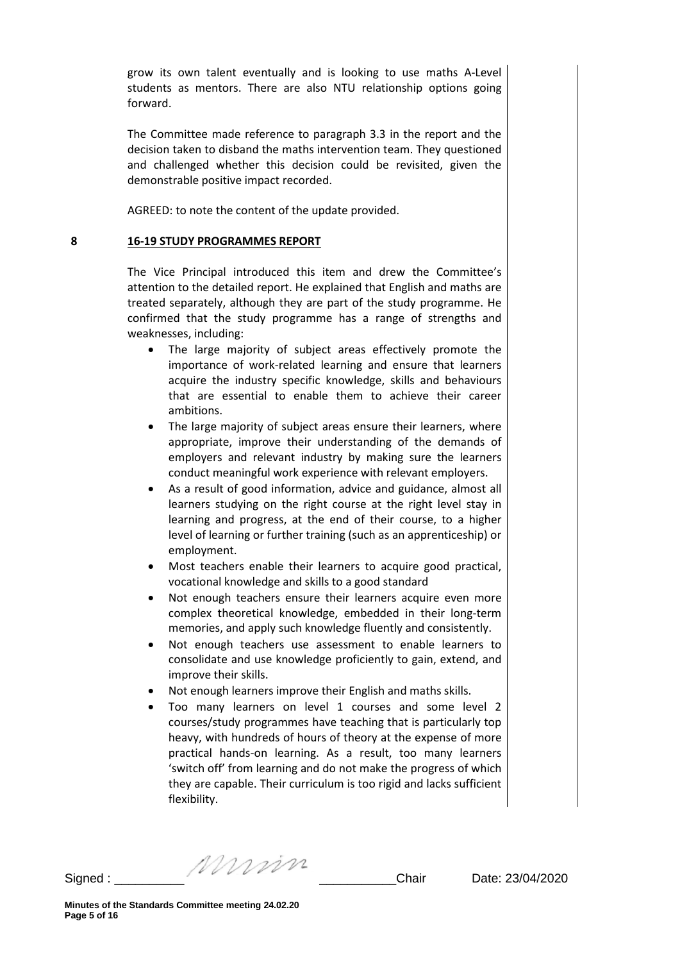grow its own talent eventually and is looking to use maths A-Level students as mentors. There are also NTU relationship options going forward.

The Committee made reference to paragraph 3.3 in the report and the decision taken to disband the maths intervention team. They questioned and challenged whether this decision could be revisited, given the demonstrable positive impact recorded.

AGREED: to note the content of the update provided.

#### **8 16-19 STUDY PROGRAMMES REPORT**

The Vice Principal introduced this item and drew the Committee's attention to the detailed report. He explained that English and maths are treated separately, although they are part of the study programme. He confirmed that the study programme has a range of strengths and weaknesses, including:

- The large majority of subject areas effectively promote the importance of work-related learning and ensure that learners acquire the industry specific knowledge, skills and behaviours that are essential to enable them to achieve their career ambitions.
- The large majority of subject areas ensure their learners, where appropriate, improve their understanding of the demands of employers and relevant industry by making sure the learners conduct meaningful work experience with relevant employers.
- As a result of good information, advice and guidance, almost all learners studying on the right course at the right level stay in learning and progress, at the end of their course, to a higher level of learning or further training (such as an apprenticeship) or employment.
- Most teachers enable their learners to acquire good practical, vocational knowledge and skills to a good standard
- Not enough teachers ensure their learners acquire even more complex theoretical knowledge, embedded in their long-term memories, and apply such knowledge fluently and consistently.
- Not enough teachers use assessment to enable learners to consolidate and use knowledge proficiently to gain, extend, and improve their skills.
- Not enough learners improve their English and maths skills.
- Too many learners on level 1 courses and some level 2 courses/study programmes have teaching that is particularly top heavy, with hundreds of hours of theory at the expense of more practical hands-on learning. As a result, too many learners 'switch off' from learning and do not make the progress of which they are capable. Their curriculum is too rigid and lacks sufficient flexibility.

Signed :  $\frac{1}{2}$   $\frac{1}{2}$   $\frac{1}{2}$   $\frac{1}{2}$  Chair Date: 23/04/2020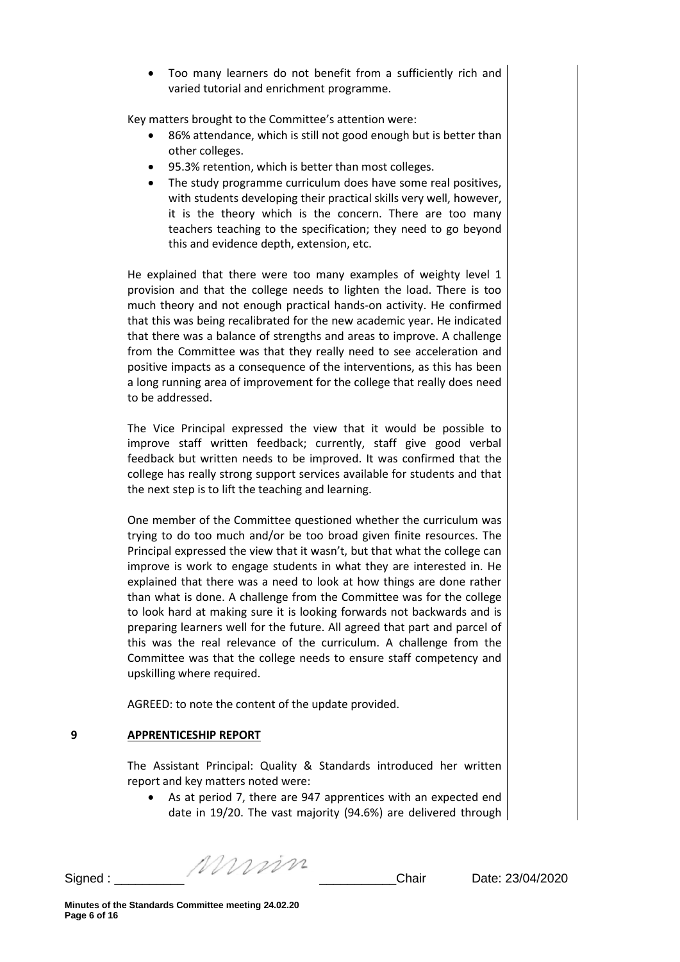• Too many learners do not benefit from a sufficiently rich and varied tutorial and enrichment programme.

Key matters brought to the Committee's attention were:

- 86% attendance, which is still not good enough but is better than other colleges.
- 95.3% retention, which is better than most colleges.
- The study programme curriculum does have some real positives, with students developing their practical skills very well, however, it is the theory which is the concern. There are too many teachers teaching to the specification; they need to go beyond this and evidence depth, extension, etc.

He explained that there were too many examples of weighty level 1 provision and that the college needs to lighten the load. There is too much theory and not enough practical hands-on activity. He confirmed that this was being recalibrated for the new academic year. He indicated that there was a balance of strengths and areas to improve. A challenge from the Committee was that they really need to see acceleration and positive impacts as a consequence of the interventions, as this has been a long running area of improvement for the college that really does need to be addressed.

The Vice Principal expressed the view that it would be possible to improve staff written feedback; currently, staff give good verbal feedback but written needs to be improved. It was confirmed that the college has really strong support services available for students and that the next step is to lift the teaching and learning.

One member of the Committee questioned whether the curriculum was trying to do too much and/or be too broad given finite resources. The Principal expressed the view that it wasn't, but that what the college can improve is work to engage students in what they are interested in. He explained that there was a need to look at how things are done rather than what is done. A challenge from the Committee was for the college to look hard at making sure it is looking forwards not backwards and is preparing learners well for the future. All agreed that part and parcel of this was the real relevance of the curriculum. A challenge from the Committee was that the college needs to ensure staff competency and upskilling where required.

AGREED: to note the content of the update provided.

## **9 APPRENTICESHIP REPORT**

The Assistant Principal: Quality & Standards introduced her written report and key matters noted were:

• As at period 7, there are 947 apprentices with an expected end date in 19/20. The vast majority (94.6%) are delivered through

Signed :  $\frac{1}{2}$   $\frac{1}{2}$   $\frac{1}{2}$   $\frac{1}{2}$  Chair Date: 23/04/2020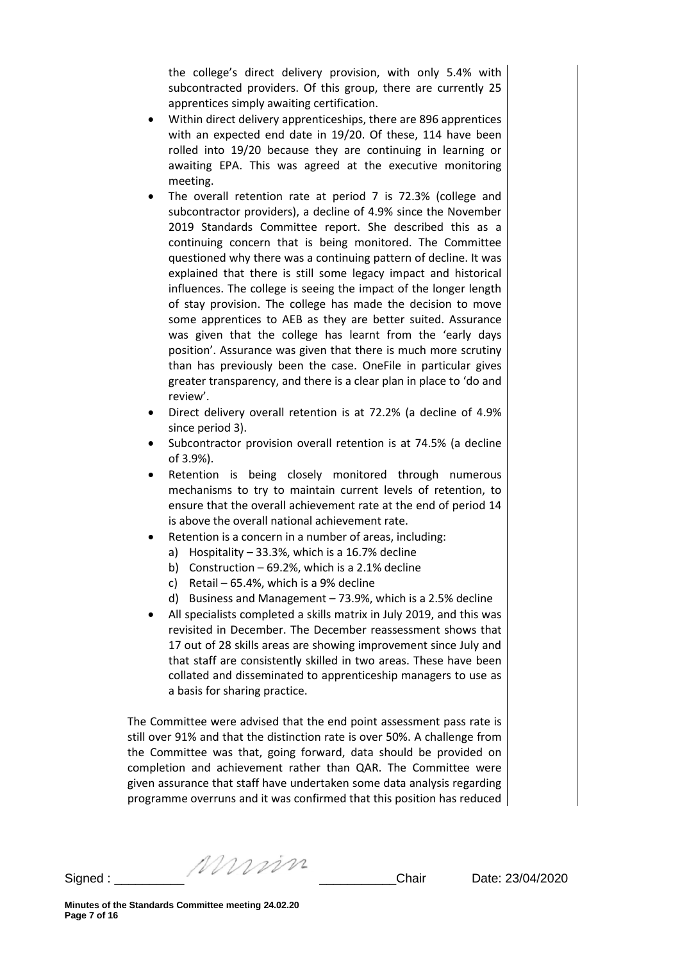the college's direct delivery provision, with only 5.4% with subcontracted providers. Of this group, there are currently 25 apprentices simply awaiting certification.

- Within direct delivery apprenticeships, there are 896 apprentices with an expected end date in 19/20. Of these, 114 have been rolled into 19/20 because they are continuing in learning or awaiting EPA. This was agreed at the executive monitoring meeting.
- The overall retention rate at period 7 is 72.3% (college and subcontractor providers), a decline of 4.9% since the November 2019 Standards Committee report. She described this as a continuing concern that is being monitored. The Committee questioned why there was a continuing pattern of decline. It was explained that there is still some legacy impact and historical influences. The college is seeing the impact of the longer length of stay provision. The college has made the decision to move some apprentices to AEB as they are better suited. Assurance was given that the college has learnt from the 'early days position'. Assurance was given that there is much more scrutiny than has previously been the case. OneFile in particular gives greater transparency, and there is a clear plan in place to 'do and review'.
- Direct delivery overall retention is at 72.2% (a decline of 4.9% since period 3).
- Subcontractor provision overall retention is at 74.5% (a decline of 3.9%).
- Retention is being closely monitored through numerous mechanisms to try to maintain current levels of retention, to ensure that the overall achievement rate at the end of period 14 is above the overall national achievement rate.
- Retention is a concern in a number of areas, including:
	- a) Hospitality 33.3%, which is a 16.7% decline
	- b) Construction 69.2%, which is a 2.1% decline
	- c) Retail 65.4%, which is a 9% decline
	- d) Business and Management 73.9%, which is a 2.5% decline
- All specialists completed a skills matrix in July 2019, and this was revisited in December. The December reassessment shows that 17 out of 28 skills areas are showing improvement since July and that staff are consistently skilled in two areas. These have been collated and disseminated to apprenticeship managers to use as a basis for sharing practice.

The Committee were advised that the end point assessment pass rate is still over 91% and that the distinction rate is over 50%. A challenge from the Committee was that, going forward, data should be provided on completion and achievement rather than QAR. The Committee were given assurance that staff have undertaken some data analysis regarding programme overruns and it was confirmed that this position has reduced

Signed :  $\frac{1}{2}$  Signed :  $\frac{1}{2}$  Chair Date: 23/04/2020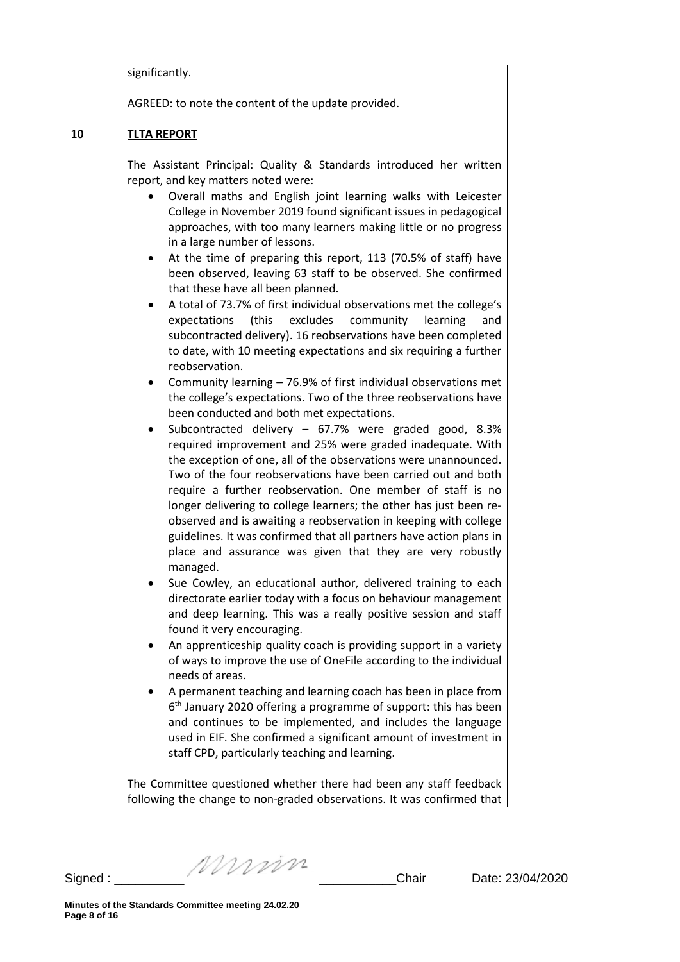significantly.

AGREED: to note the content of the update provided.

#### **10 TLTA REPORT**

The Assistant Principal: Quality & Standards introduced her written report, and key matters noted were:

- Overall maths and English joint learning walks with Leicester College in November 2019 found significant issues in pedagogical approaches, with too many learners making little or no progress in a large number of lessons.
- At the time of preparing this report, 113 (70.5% of staff) have been observed, leaving 63 staff to be observed. She confirmed that these have all been planned.
- A total of 73.7% of first individual observations met the college's expectations (this excludes community learning and subcontracted delivery). 16 reobservations have been completed to date, with 10 meeting expectations and six requiring a further reobservation.
- Community learning 76.9% of first individual observations met the college's expectations. Two of the three reobservations have been conducted and both met expectations.
- Subcontracted delivery 67.7% were graded good, 8.3% required improvement and 25% were graded inadequate. With the exception of one, all of the observations were unannounced. Two of the four reobservations have been carried out and both require a further reobservation. One member of staff is no longer delivering to college learners; the other has just been reobserved and is awaiting a reobservation in keeping with college guidelines. It was confirmed that all partners have action plans in place and assurance was given that they are very robustly managed.
- Sue Cowley, an educational author, delivered training to each directorate earlier today with a focus on behaviour management and deep learning. This was a really positive session and staff found it very encouraging.
- An apprenticeship quality coach is providing support in a variety of ways to improve the use of OneFile according to the individual needs of areas.
- A permanent teaching and learning coach has been in place from 6th January 2020 offering a programme of support: this has been and continues to be implemented, and includes the language used in EIF. She confirmed a significant amount of investment in staff CPD, particularly teaching and learning.

The Committee questioned whether there had been any staff feedback following the change to non-graded observations. It was confirmed that

Signed :  $\frac{1}{2}$  Signed :  $\frac{1}{2}$  Chair Date: 23/04/2020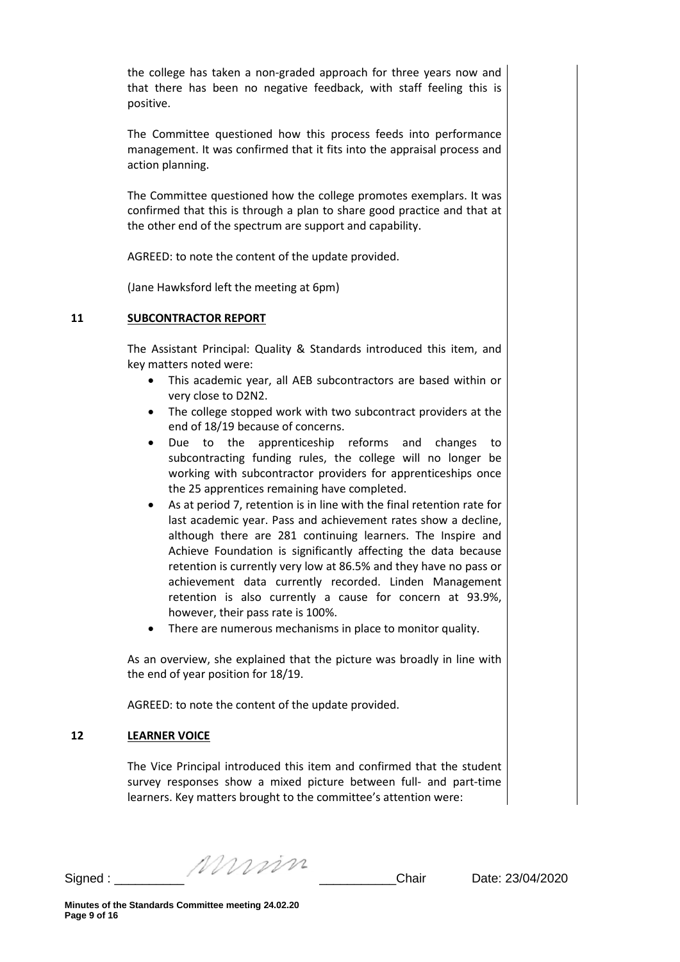the college has taken a non-graded approach for three years now and that there has been no negative feedback, with staff feeling this is positive.

The Committee questioned how this process feeds into performance management. It was confirmed that it fits into the appraisal process and action planning.

The Committee questioned how the college promotes exemplars. It was confirmed that this is through a plan to share good practice and that at the other end of the spectrum are support and capability.

AGREED: to note the content of the update provided.

(Jane Hawksford left the meeting at 6pm)

### **11 SUBCONTRACTOR REPORT**

The Assistant Principal: Quality & Standards introduced this item, and key matters noted were:

- This academic year, all AEB subcontractors are based within or very close to D2N2.
- The college stopped work with two subcontract providers at the end of 18/19 because of concerns.
- Due to the apprenticeship reforms and changes to subcontracting funding rules, the college will no longer be working with subcontractor providers for apprenticeships once the 25 apprentices remaining have completed.
- As at period 7, retention is in line with the final retention rate for last academic year. Pass and achievement rates show a decline, although there are 281 continuing learners. The Inspire and Achieve Foundation is significantly affecting the data because retention is currently very low at 86.5% and they have no pass or achievement data currently recorded. Linden Management retention is also currently a cause for concern at 93.9%, however, their pass rate is 100%.
- There are numerous mechanisms in place to monitor quality.

As an overview, she explained that the picture was broadly in line with the end of year position for 18/19.

AGREED: to note the content of the update provided.

## **12 LEARNER VOICE**

The Vice Principal introduced this item and confirmed that the student survey responses show a mixed picture between full- and part-time learners. Key matters brought to the committee's attention were:

Signed :  $\frac{1}{2}$  Signed :  $\frac{1}{2}$  Chair Date: 23/04/2020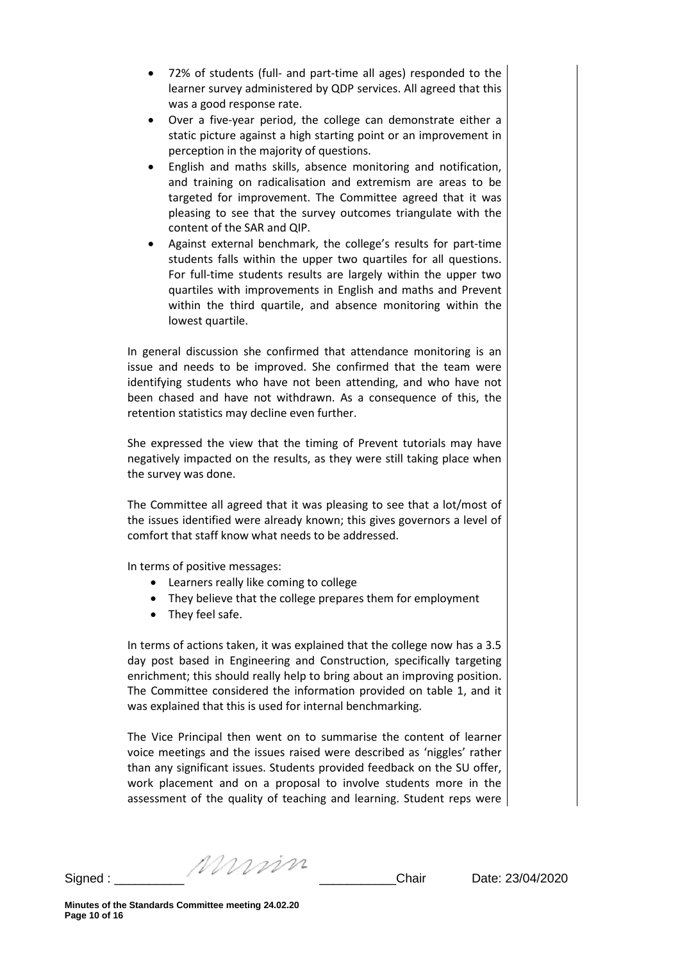- 72% of students (full- and part-time all ages) responded to the learner survey administered by QDP services. All agreed that this was a good response rate.
- Over a five-year period, the college can demonstrate either a static picture against a high starting point or an improvement in perception in the majority of questions.
- English and maths skills, absence monitoring and notification, and training on radicalisation and extremism are areas to be targeted for improvement. The Committee agreed that it was pleasing to see that the survey outcomes triangulate with the content of the SAR and QIP.
- Against external benchmark, the college's results for part-time students falls within the upper two quartiles for all questions. For full-time students results are largely within the upper two quartiles with improvements in English and maths and Prevent within the third quartile, and absence monitoring within the lowest quartile.

In general discussion she confirmed that attendance monitoring is an issue and needs to be improved. She confirmed that the team were identifying students who have not been attending, and who have not been chased and have not withdrawn. As a consequence of this, the retention statistics may decline even further.

She expressed the view that the timing of Prevent tutorials may have negatively impacted on the results, as they were still taking place when the survey was done.

The Committee all agreed that it was pleasing to see that a lot/most of the issues identified were already known; this gives governors a level of comfort that staff know what needs to be addressed.

In terms of positive messages:

- Learners really like coming to college
- They believe that the college prepares them for employment
- They feel safe.

In terms of actions taken, it was explained that the college now has a 3.5 day post based in Engineering and Construction, specifically targeting enrichment; this should really help to bring about an improving position. The Committee considered the information provided on table 1, and it was explained that this is used for internal benchmarking.

The Vice Principal then went on to summarise the content of learner voice meetings and the issues raised were described as 'niggles' rather than any significant issues. Students provided feedback on the SU offer, work placement and on a proposal to involve students more in the assessment of the quality of teaching and learning. Student reps were

Signed :  $\frac{1}{2}$   $\frac{1}{2}$   $\frac{1}{2}$   $\frac{1}{2}$  Chair Date: 23/04/2020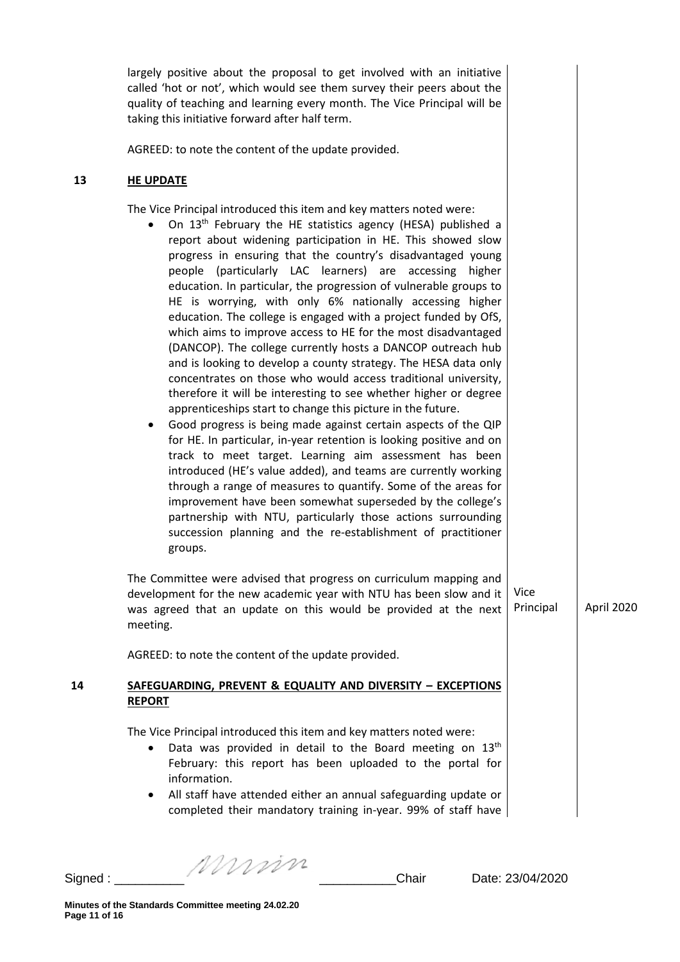largely positive about the proposal to get involved with an initiative called 'hot or not', which would see them survey their peers about the quality of teaching and learning every month. The Vice Principal will be taking this initiative forward after half term.

AGREED: to note the content of the update provided.

#### **13 HE UPDATE**

The Vice Principal introduced this item and key matters noted were:

- On 13<sup>th</sup> February the HE statistics agency (HESA) published a report about widening participation in HE. This showed slow progress in ensuring that the country's disadvantaged young people (particularly LAC learners) are accessing higher education. In particular, the progression of vulnerable groups to HE is worrying, with only 6% nationally accessing higher education. The college is engaged with a project funded by OfS, which aims to improve access to HE for the most disadvantaged (DANCOP). The college currently hosts a DANCOP outreach hub and is looking to develop a county strategy. The HESA data only concentrates on those who would access traditional university, therefore it will be interesting to see whether higher or degree apprenticeships start to change this picture in the future.
- Good progress is being made against certain aspects of the QIP for HE. In particular, in-year retention is looking positive and on track to meet target. Learning aim assessment has been introduced (HE's value added), and teams are currently working through a range of measures to quantify. Some of the areas for improvement have been somewhat superseded by the college's partnership with NTU, particularly those actions surrounding succession planning and the re-establishment of practitioner groups.

The Committee were advised that progress on curriculum mapping and development for the new academic year with NTU has been slow and it was agreed that an update on this would be provided at the next meeting. Vice

AGREED: to note the content of the update provided.

### **14 SAFEGUARDING, PREVENT & EQUALITY AND DIVERSITY – EXCEPTIONS REPORT**

The Vice Principal introduced this item and key matters noted were:

- Data was provided in detail to the Board meeting on  $13<sup>th</sup>$ February: this report has been uploaded to the portal for information.
- All staff have attended either an annual safeguarding update or completed their mandatory training in-year. 99% of staff have

Signed :  $\frac{1}{2}$  Signed :  $\frac{1}{2}$   $\frac{1}{2}$   $\frac{1}{2}$   $\frac{1}{2}$   $\frac{1}{2}$   $\frac{1}{2}$   $\frac{1}{2}$   $\frac{1}{2}$   $\frac{1}{2}$   $\frac{1}{2}$   $\frac{1}{2}$   $\frac{1}{2}$   $\frac{1}{2}$   $\frac{1}{2}$   $\frac{1}{2}$   $\frac{1}{2}$   $\frac{1}{2}$   $\frac{1}{2}$   $\frac{1}{2}$   $\frac$ 

Principal April 2020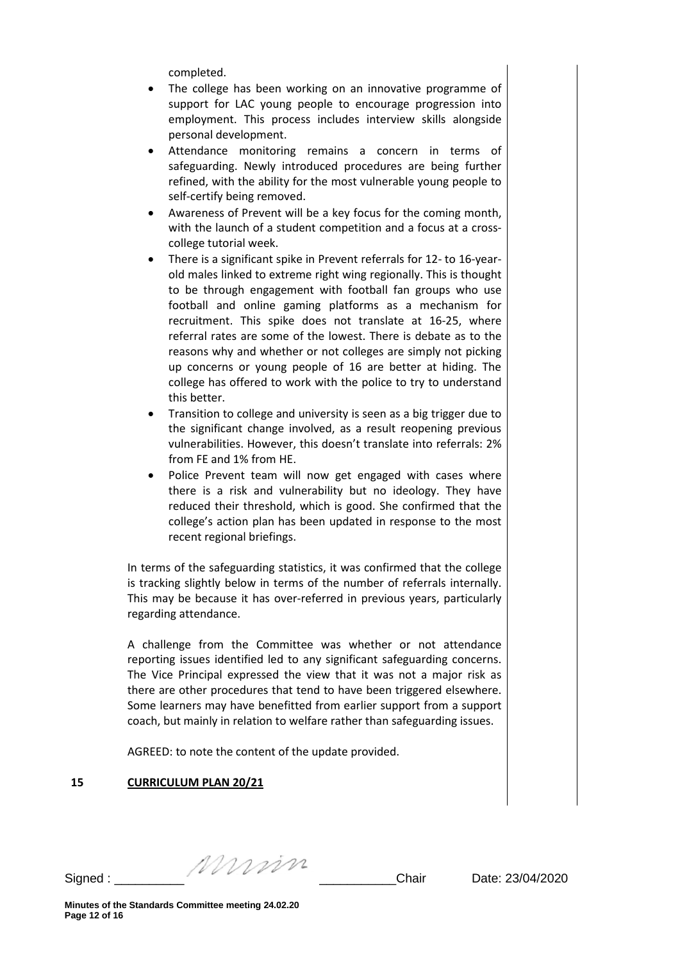completed.

- The college has been working on an innovative programme of support for LAC young people to encourage progression into employment. This process includes interview skills alongside personal development.
- Attendance monitoring remains a concern in terms of safeguarding. Newly introduced procedures are being further refined, with the ability for the most vulnerable young people to self-certify being removed.
- Awareness of Prevent will be a key focus for the coming month, with the launch of a student competition and a focus at a crosscollege tutorial week.
- There is a significant spike in Prevent referrals for 12- to 16-yearold males linked to extreme right wing regionally. This is thought to be through engagement with football fan groups who use football and online gaming platforms as a mechanism for recruitment. This spike does not translate at 16-25, where referral rates are some of the lowest. There is debate as to the reasons why and whether or not colleges are simply not picking up concerns or young people of 16 are better at hiding. The college has offered to work with the police to try to understand this better.
- Transition to college and university is seen as a big trigger due to the significant change involved, as a result reopening previous vulnerabilities. However, this doesn't translate into referrals: 2% from FE and 1% from HE.
- Police Prevent team will now get engaged with cases where there is a risk and vulnerability but no ideology. They have reduced their threshold, which is good. She confirmed that the college's action plan has been updated in response to the most recent regional briefings.

In terms of the safeguarding statistics, it was confirmed that the college is tracking slightly below in terms of the number of referrals internally. This may be because it has over-referred in previous years, particularly regarding attendance.

A challenge from the Committee was whether or not attendance reporting issues identified led to any significant safeguarding concerns. The Vice Principal expressed the view that it was not a major risk as there are other procedures that tend to have been triggered elsewhere. Some learners may have benefitted from earlier support from a support coach, but mainly in relation to welfare rather than safeguarding issues.

AGREED: to note the content of the update provided.

## **15 CURRICULUM PLAN 20/21**

Signed :  $\frac{1}{2}$   $\frac{1}{2}$   $\frac{1}{2}$   $\frac{1}{2}$  Chair Date: 23/04/2020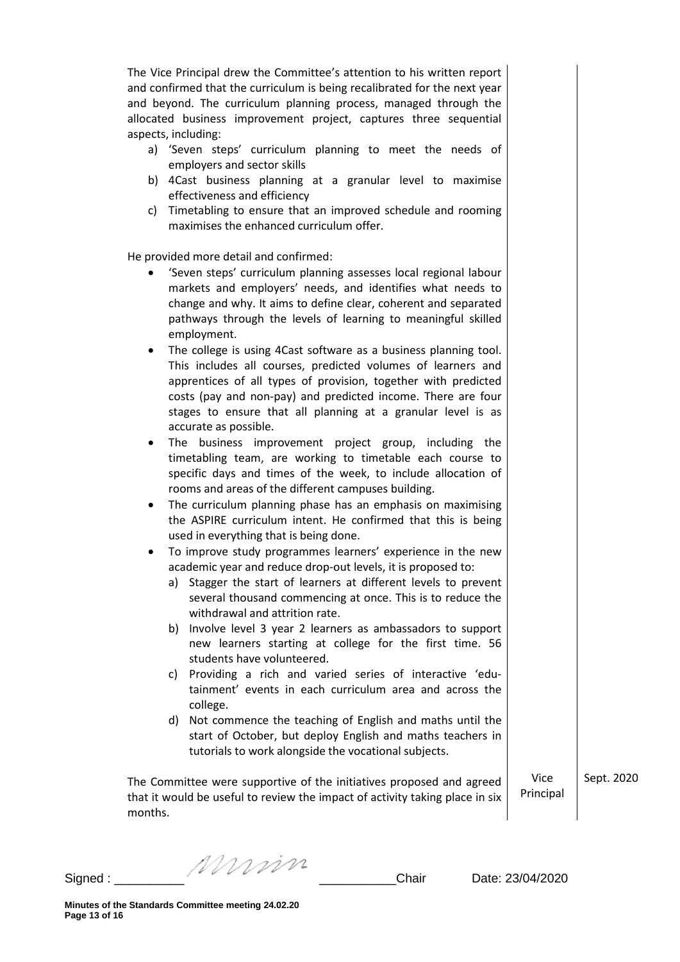The Vice Principal drew the Committee's attention to his written report and confirmed that the curriculum is being recalibrated for the next year and beyond. The curriculum planning process, managed through the allocated business improvement project, captures three sequential aspects, including:

- a) 'Seven steps' curriculum planning to meet the needs of employers and sector skills
- b) 4Cast business planning at a granular level to maximise effectiveness and efficiency
- c) Timetabling to ensure that an improved schedule and rooming maximises the enhanced curriculum offer.

He provided more detail and confirmed:

- 'Seven steps' curriculum planning assesses local regional labour markets and employers' needs, and identifies what needs to change and why. It aims to define clear, coherent and separated pathways through the levels of learning to meaningful skilled employment.
- The college is using 4Cast software as a business planning tool. This includes all courses, predicted volumes of learners and apprentices of all types of provision, together with predicted costs (pay and non-pay) and predicted income. There are four stages to ensure that all planning at a granular level is as accurate as possible.
- The business improvement project group, including the timetabling team, are working to timetable each course to specific days and times of the week, to include allocation of rooms and areas of the different campuses building.
- The curriculum planning phase has an emphasis on maximising the ASPIRE curriculum intent. He confirmed that this is being used in everything that is being done.
- To improve study programmes learners' experience in the new academic year and reduce drop-out levels, it is proposed to:
	- a) Stagger the start of learners at different levels to prevent several thousand commencing at once. This is to reduce the withdrawal and attrition rate.
	- b) Involve level 3 year 2 learners as ambassadors to support new learners starting at college for the first time. 56 students have volunteered.
	- c) Providing a rich and varied series of interactive 'edutainment' events in each curriculum area and across the college.
	- d) Not commence the teaching of English and maths until the start of October, but deploy English and maths teachers in tutorials to work alongside the vocational subjects.

The Committee were supportive of the initiatives proposed and agreed that it would be useful to review the impact of activity taking place in six months. Vice Principal

Sept. 2020

Murin Signed : \_\_\_\_\_\_\_\_\_\_ \_\_\_\_\_\_\_\_\_\_\_Chair Date: 23/04/2020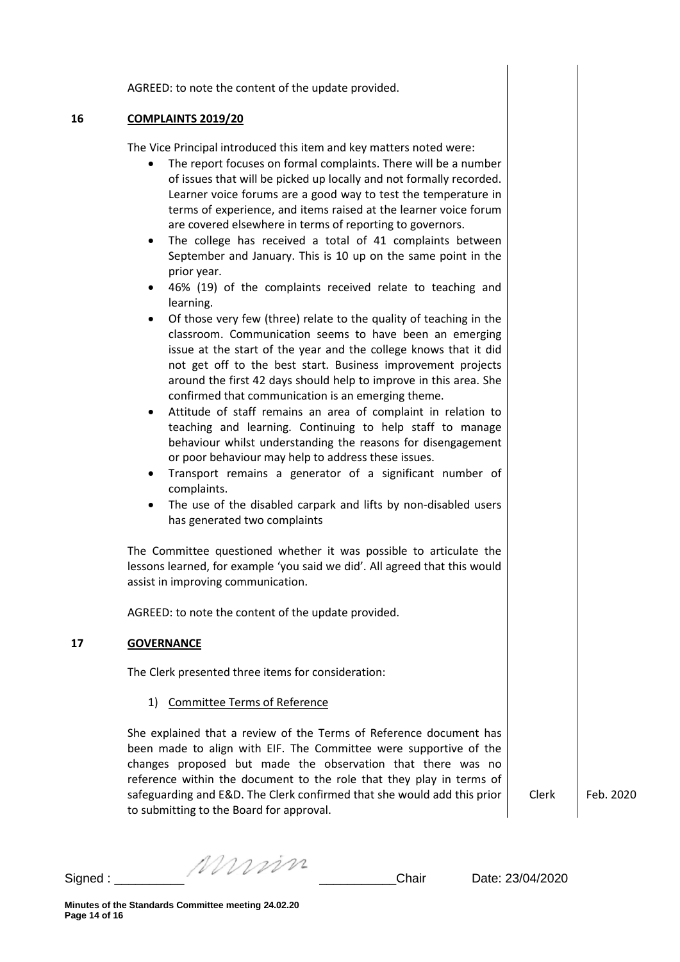AGREED: to note the content of the update provided.

### **16 COMPLAINTS 2019/20**

The Vice Principal introduced this item and key matters noted were:

- The report focuses on formal complaints. There will be a number of issues that will be picked up locally and not formally recorded. Learner voice forums are a good way to test the temperature in terms of experience, and items raised at the learner voice forum are covered elsewhere in terms of reporting to governors.
- The college has received a total of 41 complaints between September and January. This is 10 up on the same point in the prior year.
- 46% (19) of the complaints received relate to teaching and learning.
- Of those very few (three) relate to the quality of teaching in the classroom. Communication seems to have been an emerging issue at the start of the year and the college knows that it did not get off to the best start. Business improvement projects around the first 42 days should help to improve in this area. She confirmed that communication is an emerging theme.
- Attitude of staff remains an area of complaint in relation to teaching and learning. Continuing to help staff to manage behaviour whilst understanding the reasons for disengagement or poor behaviour may help to address these issues.
- Transport remains a generator of a significant number of complaints.
- The use of the disabled carpark and lifts by non-disabled users has generated two complaints

The Committee questioned whether it was possible to articulate the lessons learned, for example 'you said we did'. All agreed that this would assist in improving communication.

AGREED: to note the content of the update provided.

### **17 GOVERNANCE**

The Clerk presented three items for consideration:

### 1) Committee Terms of Reference

She explained that a review of the Terms of Reference document has been made to align with EIF. The Committee were supportive of the changes proposed but made the observation that there was no reference within the document to the role that they play in terms of safeguarding and E&D. The Clerk confirmed that she would add this prior to submitting to the Board for approval.

Clerk Feb. 2020

Signed :  $\frac{1}{2}$   $\frac{1}{2}$   $\frac{1}{2}$   $\frac{1}{2}$  Chair Date: 23/04/2020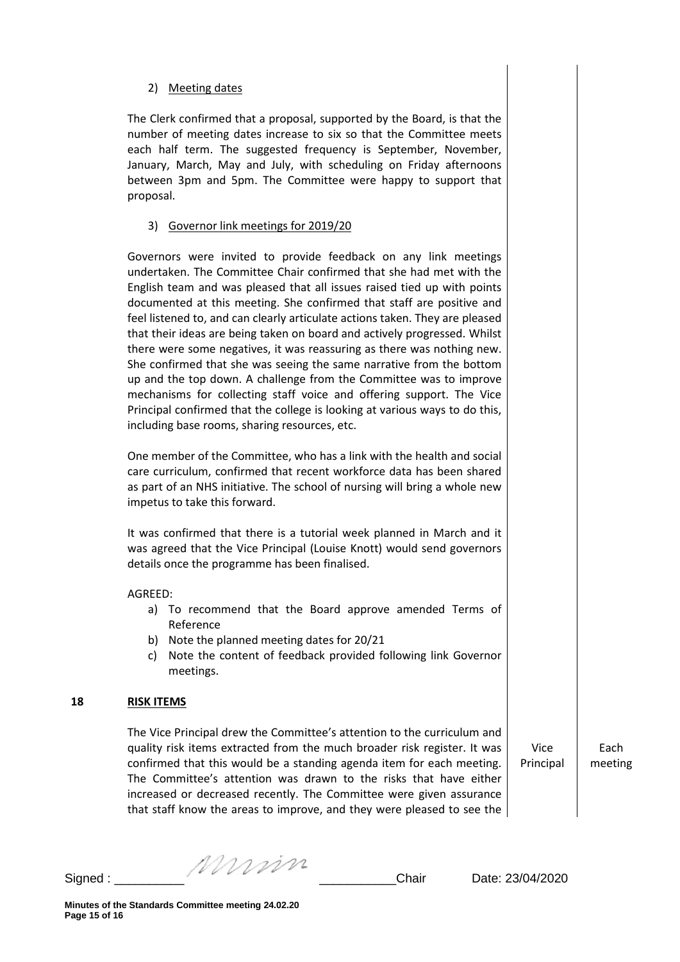### 2) Meeting dates

The Clerk confirmed that a proposal, supported by the Board, is that the number of meeting dates increase to six so that the Committee meets each half term. The suggested frequency is September, November, January, March, May and July, with scheduling on Friday afternoons between 3pm and 5pm. The Committee were happy to support that proposal.

### 3) Governor link meetings for 2019/20

Governors were invited to provide feedback on any link meetings undertaken. The Committee Chair confirmed that she had met with the English team and was pleased that all issues raised tied up with points documented at this meeting. She confirmed that staff are positive and feel listened to, and can clearly articulate actions taken. They are pleased that their ideas are being taken on board and actively progressed. Whilst there were some negatives, it was reassuring as there was nothing new. She confirmed that she was seeing the same narrative from the bottom up and the top down. A challenge from the Committee was to improve mechanisms for collecting staff voice and offering support. The Vice Principal confirmed that the college is looking at various ways to do this, including base rooms, sharing resources, etc.

One member of the Committee, who has a link with the health and social care curriculum, confirmed that recent workforce data has been shared as part of an NHS initiative. The school of nursing will bring a whole new impetus to take this forward.

It was confirmed that there is a tutorial week planned in March and it was agreed that the Vice Principal (Louise Knott) would send governors details once the programme has been finalised.

### AGREED:

- a) To recommend that the Board approve amended Terms of Reference
- b) Note the planned meeting dates for 20/21
- c) Note the content of feedback provided following link Governor meetings.

### **18 RISK ITEMS**

The Vice Principal drew the Committee's attention to the curriculum and quality risk items extracted from the much broader risk register. It was confirmed that this would be a standing agenda item for each meeting. The Committee's attention was drawn to the risks that have either increased or decreased recently. The Committee were given assurance that staff know the areas to improve, and they were pleased to see the

Vice Principal

**Each** meeting

Signed :  $\frac{1}{2}$  Signed :  $\frac{1}{2}$  Chair Date: 23/04/2020